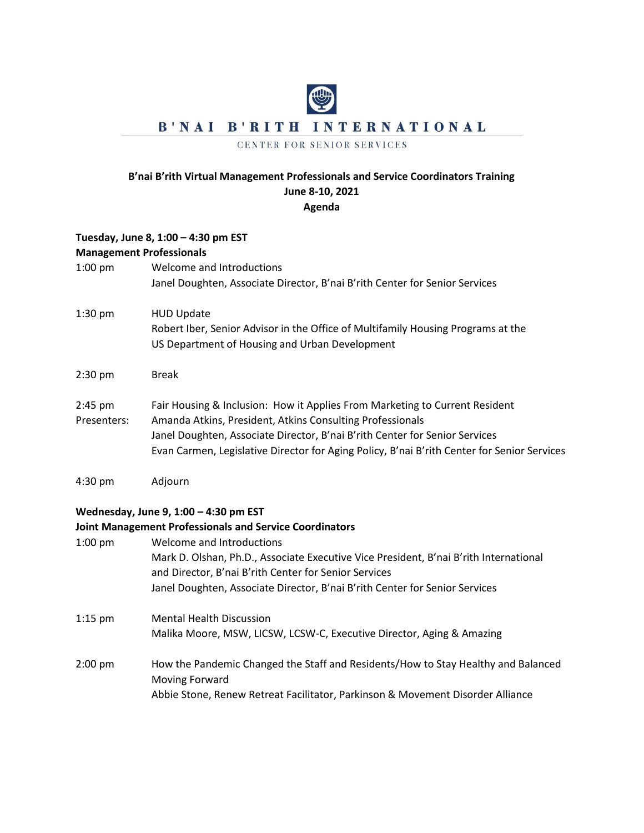## B'NAI B'RITH INTERNATIONAL

## CENTER FOR SENIOR SERVICES

## **B'nai B'rith Virtual Management Professionals and Service Coordinators Training June 8-10, 2021 Agenda**

## **Tuesday, June 8, 1:00 – 4:30 pm EST Management Professionals**  1:00 pm Welcome and Introductions Janel Doughten, Associate Director, B'nai B'rith Center for Senior Services 1:30 pm HUD Update Robert Iber, Senior Advisor in the Office of Multifamily Housing Programs at the US Department of Housing and Urban Development 2:30 pm Break 2:45 pm Fair Housing & Inclusion: How it Applies From Marketing to Current Resident Presenters: Amanda Atkins, President, Atkins Consulting Professionals Janel Doughten, Associate Director, B'nai B'rith Center for Senior Services Evan Carmen, Legislative Director for Aging Policy, B'nai B'rith Center for Senior Services 4:30 pm Adjourn **Wednesday, June 9, 1:00 – 4:30 pm EST Joint Management Professionals and Service Coordinators** 1:00 pm Welcome and Introductions Mark D. Olshan, Ph.D., Associate Executive Vice President, B'nai B'rith International and Director, B'nai B'rith Center for Senior Services Janel Doughten, Associate Director, B'nai B'rith Center for Senior Services

1:15 pm Mental Health Discussion Malika Moore, MSW, LICSW, LCSW-C, Executive Director, Aging & Amazing

2:00 pm How the Pandemic Changed the Staff and Residents/How to Stay Healthy and Balanced Moving Forward Abbie Stone, Renew Retreat Facilitator, Parkinson & Movement Disorder Alliance